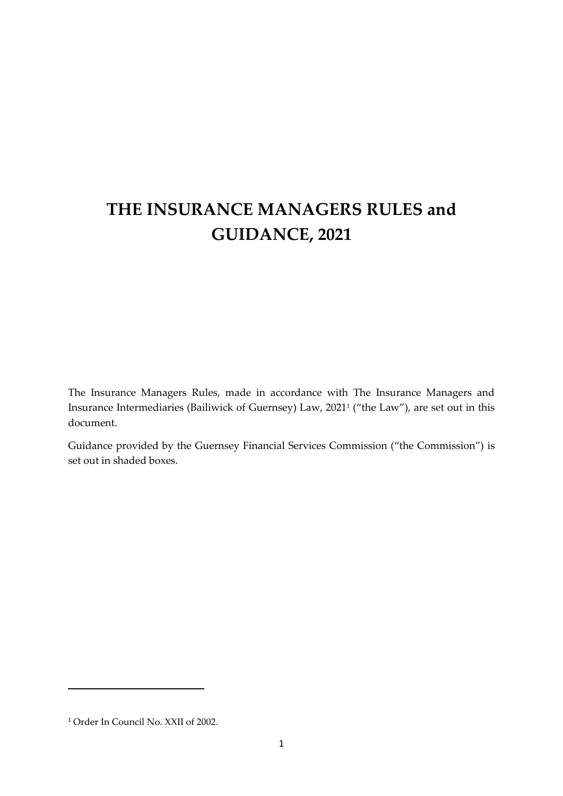# **THE INSURANCE MANAGERS RULES and GUIDANCE, 2021**

The Insurance Managers Rules, made in accordance with The Insurance Managers and Insurance Intermediaries (Bailiwick of Guernsey) Law, 2021<sup>1</sup> ("the Law"), are set out in this document.

Guidance provided by the Guernsey Financial Services Commission ("the Commission") is set out in shaded boxes.

<sup>1</sup> Order In Council No. XXII of 2002.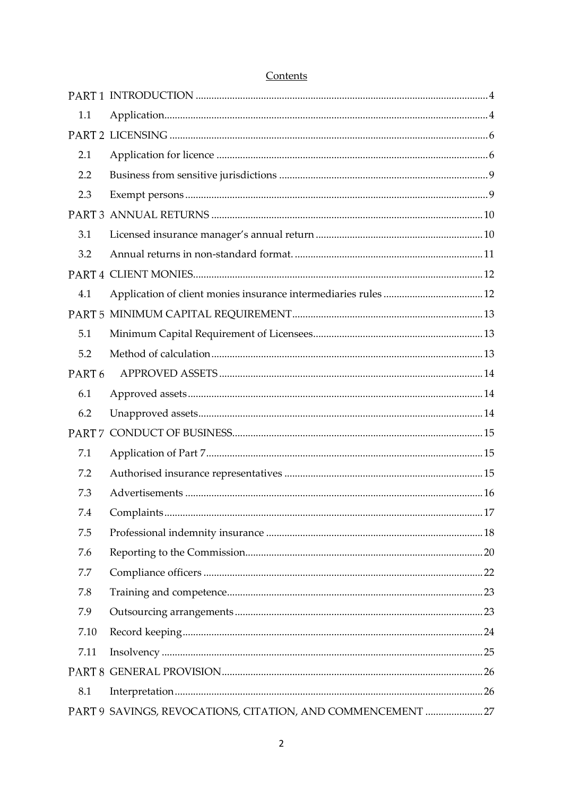| 1.1               |                                                            |  |  |  |
|-------------------|------------------------------------------------------------|--|--|--|
|                   |                                                            |  |  |  |
| 2.1               |                                                            |  |  |  |
| 2.2               |                                                            |  |  |  |
| 2.3               |                                                            |  |  |  |
|                   |                                                            |  |  |  |
| 3.1               |                                                            |  |  |  |
| 3.2               |                                                            |  |  |  |
|                   |                                                            |  |  |  |
| 4.1               |                                                            |  |  |  |
|                   |                                                            |  |  |  |
| 5.1               |                                                            |  |  |  |
| 5.2               |                                                            |  |  |  |
| PART <sub>6</sub> |                                                            |  |  |  |
| 6.1               |                                                            |  |  |  |
| 6.2               |                                                            |  |  |  |
|                   |                                                            |  |  |  |
| 7.1               |                                                            |  |  |  |
| 7.2               |                                                            |  |  |  |
| 7.3               |                                                            |  |  |  |
| 7.4               |                                                            |  |  |  |
| 7.5               |                                                            |  |  |  |
| 7.6               |                                                            |  |  |  |
| 7.7               |                                                            |  |  |  |
| 7.8               |                                                            |  |  |  |
| 7.9               |                                                            |  |  |  |
| 7.10              |                                                            |  |  |  |
| 7.11              |                                                            |  |  |  |
|                   |                                                            |  |  |  |
| 8.1               |                                                            |  |  |  |
|                   | PART 9 SAVINGS, REVOCATIONS, CITATION, AND COMMENCEMENT 27 |  |  |  |

# Contents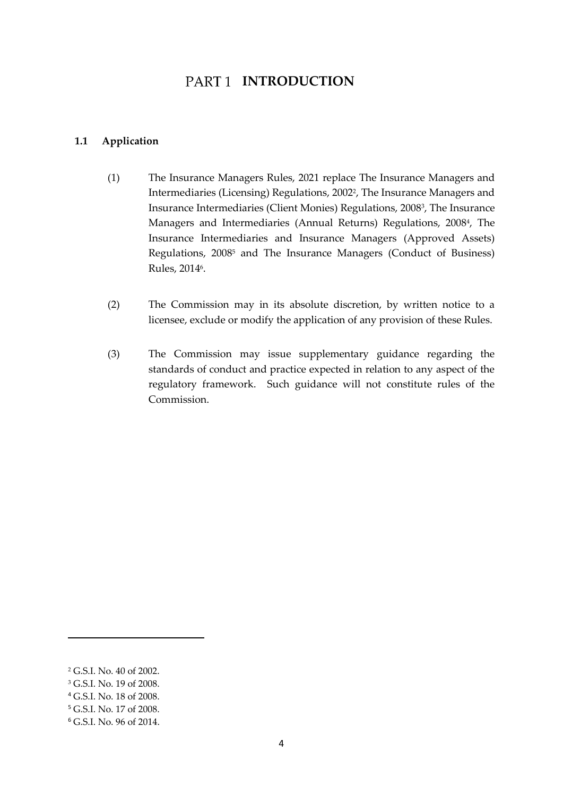# PART<sub>1</sub> INTRODUCTION

#### <span id="page-3-1"></span><span id="page-3-0"></span>**1.1 Application**

- (1) The Insurance Managers Rules, 2021 replace The Insurance Managers and Intermediaries (Licensing) Regulations, 2002<sup>2</sup>, The Insurance Managers and Insurance Intermediaries (Client Monies) Regulations, 2008<sup>3</sup> , The Insurance Managers and Intermediaries (Annual Returns) Regulations, 2008<sup>4</sup> , The Insurance Intermediaries and Insurance Managers (Approved Assets) Regulations, 2008<sup>5</sup> and The Insurance Managers (Conduct of Business) Rules*,* 2014<sup>6</sup>.
- (2) The Commission may in its absolute discretion, by written notice to a licensee, exclude or modify the application of any provision of these Rules.
- (3) The Commission may issue supplementary guidance regarding the standards of conduct and practice expected in relation to any aspect of the regulatory framework. Such guidance will not constitute rules of the Commission.

<sup>2</sup> G.S.I. No. 40 of 2002.

<sup>&</sup>lt;sup>3</sup> G.S.I. No. 19 of 2008.

<sup>4</sup> G.S.I. No. 18 of 2008.

<sup>5</sup> G.S.I. No. 17 of 2008.

<sup>6</sup> G.S.I. No. 96 of 2014.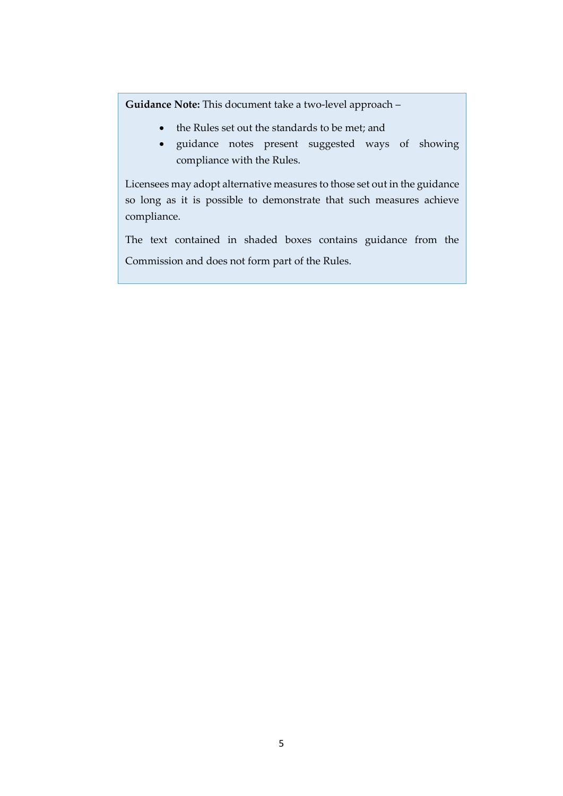**Guidance Note:** This document take a two-level approach –

- the Rules set out the standards to be met; and
- guidance notes present suggested ways of showing compliance with the Rules.

Licensees may adopt alternative measures to those set out in the guidance so long as it is possible to demonstrate that such measures achieve compliance.

The text contained in shaded boxes contains guidance from the Commission and does not form part of the Rules.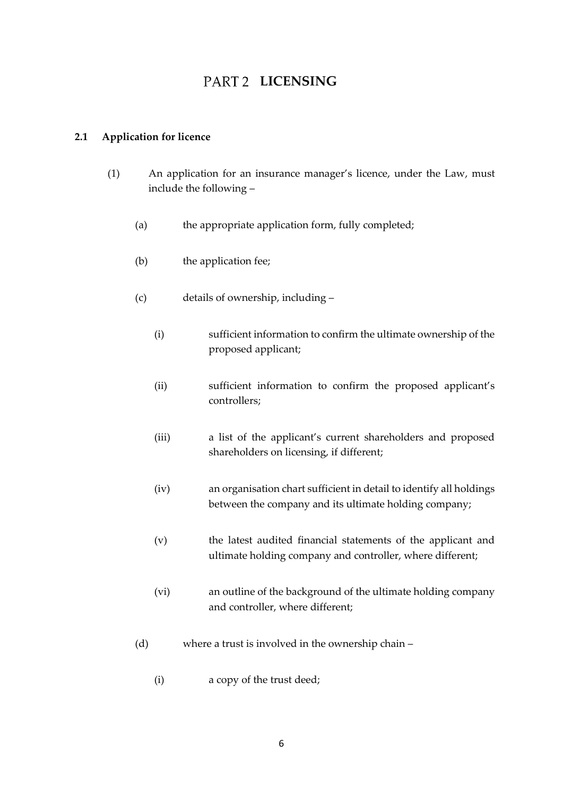# **PART 2 LICENSING**

# <span id="page-5-1"></span><span id="page-5-0"></span>**2.1 Application for licence**

- (1) An application for an insurance manager's licence, under the Law, must include the following –
	- (a) the appropriate application form, fully completed;
	- (b) the application fee;
	- (c) details of ownership, including
		- (i) sufficient information to confirm the ultimate ownership of the proposed applicant;
		- (ii) sufficient information to confirm the proposed applicant's controllers;
		- (iii) a list of the applicant's current shareholders and proposed shareholders on licensing, if different;
		- (iv) an organisation chart sufficient in detail to identify all holdings between the company and its ultimate holding company;
		- (v) the latest audited financial statements of the applicant and ultimate holding company and controller, where different;
		- (vi) an outline of the background of the ultimate holding company and controller, where different;
	- (d) where a trust is involved in the ownership chain
		- (i) a copy of the trust deed;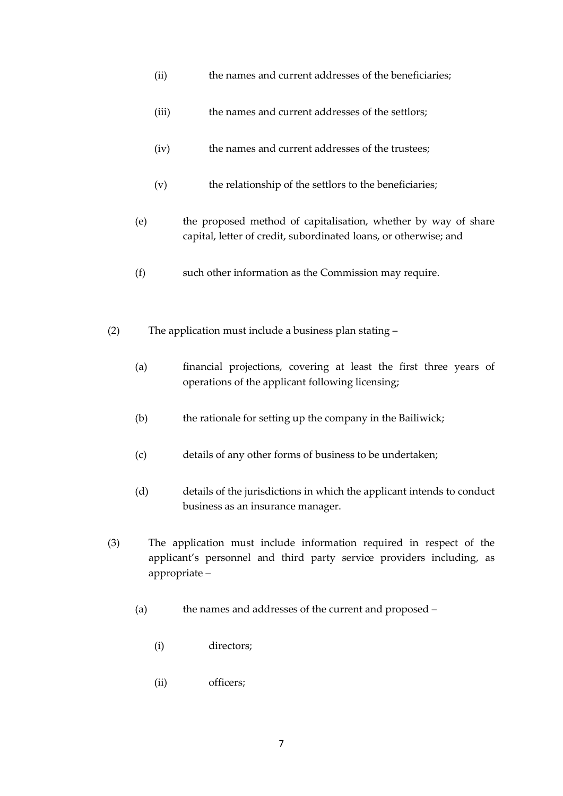- (ii) the names and current addresses of the beneficiaries;
- (iii) the names and current addresses of the settlors;
- (iv) the names and current addresses of the trustees;
- (v) the relationship of the settlors to the beneficiaries;
- (e) the proposed method of capitalisation, whether by way of share capital, letter of credit, subordinated loans, or otherwise; and
- (f) such other information as the Commission may require.
- (2) The application must include a business plan stating
	- (a) financial projections, covering at least the first three years of operations of the applicant following licensing;
	- (b) the rationale for setting up the company in the Bailiwick;
	- (c) details of any other forms of business to be undertaken;
	- (d) details of the jurisdictions in which the applicant intends to conduct business as an insurance manager.
- (3) The application must include information required in respect of the applicant's personnel and third party service providers including, as appropriate –
	- (a) the names and addresses of the current and proposed
		- (i) directors;
		- (ii) officers;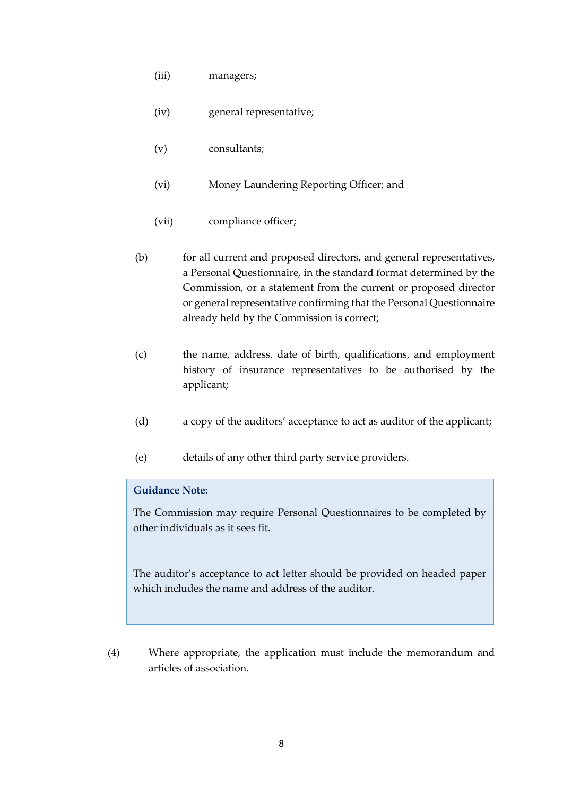- (iii) managers;
- (iv) general representative;
- (v) consultants;
- (vi) Money Laundering Reporting Officer; and
- (vii) compliance officer;
- (b) for all current and proposed directors, and general representatives, a Personal Questionnaire, in the standard format determined by the Commission, or a statement from the current or proposed director or general representative confirming that the Personal Questionnaire already held by the Commission is correct;
- (c) the name, address, date of birth, qualifications, and employment history of insurance representatives to be authorised by the applicant;
- (d) a copy of the auditors' acceptance to act as auditor of the applicant;
- (e) details of any other third party service providers.

### **Guidance Note:**

The Commission may require Personal Questionnaires to be completed by other individuals as it sees fit.

The auditor's acceptance to act letter should be provided on headed paper which includes the name and address of the auditor.

(4) Where appropriate, the application must include the memorandum and articles of association.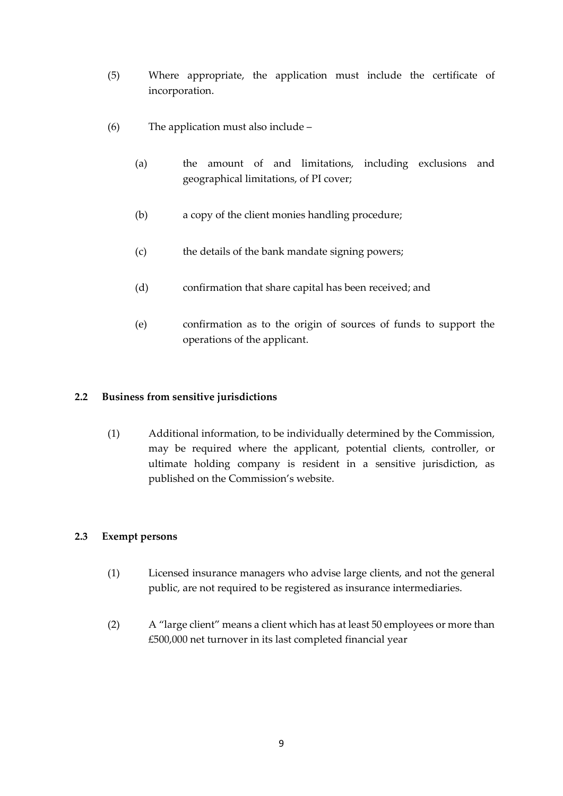- (5) Where appropriate, the application must include the certificate of incorporation.
- (6) The application must also include
	- (a) the amount of and limitations, including exclusions and geographical limitations, of PI cover;
	- (b) a copy of the client monies handling procedure;
	- (c) the details of the bank mandate signing powers;
	- (d) confirmation that share capital has been received; and
	- (e) confirmation as to the origin of sources of funds to support the operations of the applicant.

# <span id="page-8-0"></span>**2.2 Business from sensitive jurisdictions**

(1) Additional information, to be individually determined by the Commission, may be required where the applicant, potential clients, controller, or ultimate holding company is resident in a sensitive jurisdiction, as published on the Commission's website.

### <span id="page-8-1"></span>**2.3 Exempt persons**

- (1) Licensed insurance managers who advise large clients, and not the general public, are not required to be registered as insurance intermediaries.
- (2) A "large client" means a client which has at least 50 employees or more than £500,000 net turnover in its last completed financial year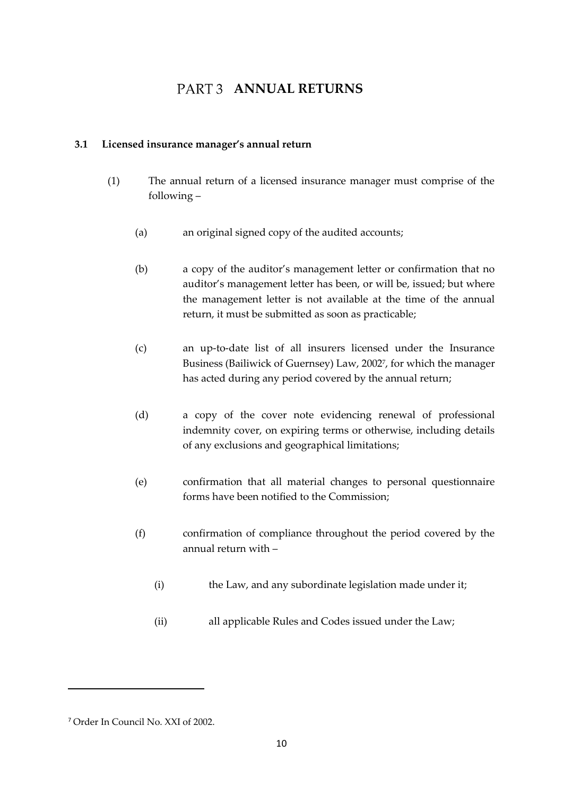# **PART 3 ANNUAL RETURNS**

### <span id="page-9-1"></span><span id="page-9-0"></span>**3.1 Licensed insurance manager's annual return**

- (1) The annual return of a licensed insurance manager must comprise of the following –
	- (a) an original signed copy of the audited accounts;
	- (b) a copy of the auditor's management letter or confirmation that no auditor's management letter has been, or will be, issued; but where the management letter is not available at the time of the annual return, it must be submitted as soon as practicable;
	- (c) an up-to-date list of all insurers licensed under the Insurance Business (Bailiwick of Guernsey) Law, 2002<sup>7</sup> , for which the manager has acted during any period covered by the annual return;
	- (d) a copy of the cover note evidencing renewal of professional indemnity cover, on expiring terms or otherwise, including details of any exclusions and geographical limitations;
	- (e) confirmation that all material changes to personal questionnaire forms have been notified to the Commission;
	- (f) confirmation of compliance throughout the period covered by the annual return with –
		- (i) the Law, and any subordinate legislation made under it;
		- (ii) all applicable Rules and Codes issued under the Law;

<sup>7</sup> Order In Council No. XXI of 2002.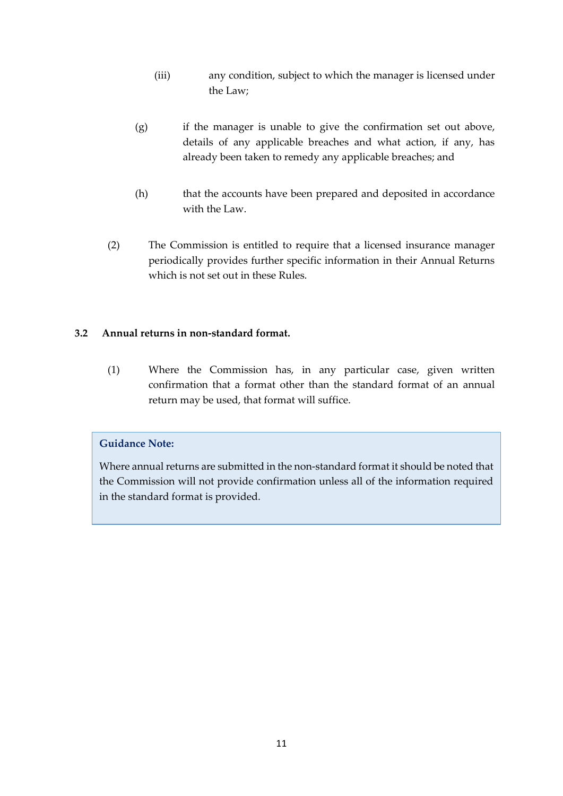- (iii) any condition, subject to which the manager is licensed under the Law;
- (g) if the manager is unable to give the confirmation set out above, details of any applicable breaches and what action, if any, has already been taken to remedy any applicable breaches; and
- (h) that the accounts have been prepared and deposited in accordance with the Law.
- (2) The Commission is entitled to require that a licensed insurance manager periodically provides further specific information in their Annual Returns which is not set out in these Rules.

# <span id="page-10-0"></span>**3.2 Annual returns in non-standard format.**

(1) Where the Commission has, in any particular case, given written confirmation that a format other than the standard format of an annual return may be used, that format will suffice.

# **Guidance Note:**

Where annual returns are submitted in the non-standard format it should be noted that the Commission will not provide confirmation unless all of the information required in the standard format is provided.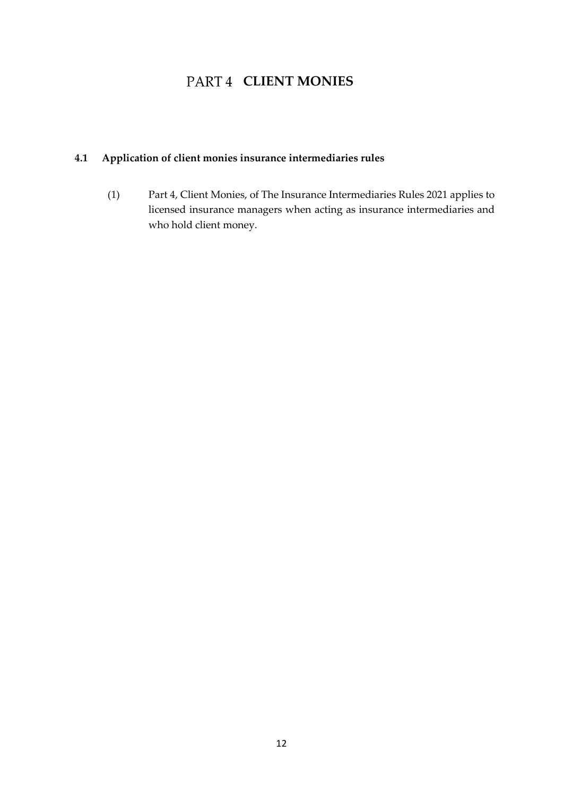# PART 4 **CLIENT MONIES**

# <span id="page-11-1"></span><span id="page-11-0"></span>**4.1 Application of client monies insurance intermediaries rules**

(1) Part 4, Client Monies, of The Insurance Intermediaries Rules 2021 applies to licensed insurance managers when acting as insurance intermediaries and who hold client money.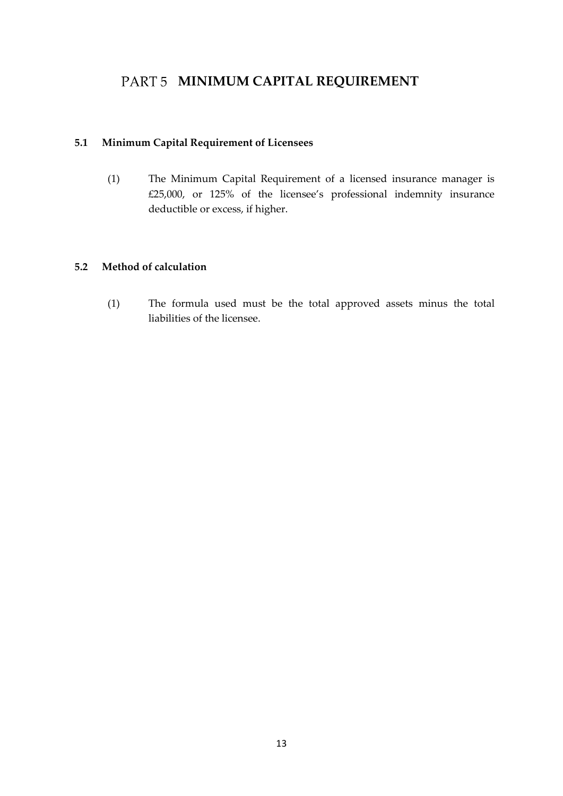# <span id="page-12-0"></span>PART 5 **MINIMUM CAPITAL REQUIREMENT**

# <span id="page-12-1"></span>**5.1 Minimum Capital Requirement of Licensees**

(1) The Minimum Capital Requirement of a licensed insurance manager is £25,000, or 125% of the licensee's professional indemnity insurance deductible or excess, if higher.

# <span id="page-12-2"></span>**5.2 Method of calculation**

(1) The formula used must be the total approved assets minus the total liabilities of the licensee.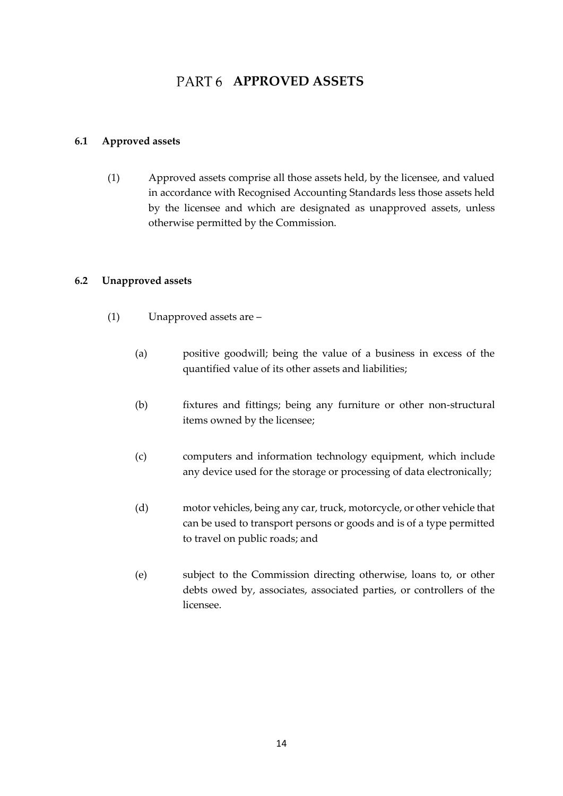# PART 6 **APPROVED ASSETS**

### <span id="page-13-1"></span><span id="page-13-0"></span>**6.1 Approved assets**

(1) Approved assets comprise all those assets held, by the licensee, and valued in accordance with Recognised Accounting Standards less those assets held by the licensee and which are designated as unapproved assets, unless otherwise permitted by the Commission.

### <span id="page-13-2"></span>**6.2 Unapproved assets**

- (1) Unapproved assets are
	- (a) positive goodwill; being the value of a business in excess of the quantified value of its other assets and liabilities;
	- (b) fixtures and fittings; being any furniture or other non-structural items owned by the licensee;
	- (c) computers and information technology equipment, which include any device used for the storage or processing of data electronically;
	- (d) motor vehicles, being any car, truck, motorcycle, or other vehicle that can be used to transport persons or goods and is of a type permitted to travel on public roads; and
	- (e) subject to the Commission directing otherwise, loans to, or other debts owed by, associates, associated parties, or controllers of the licensee.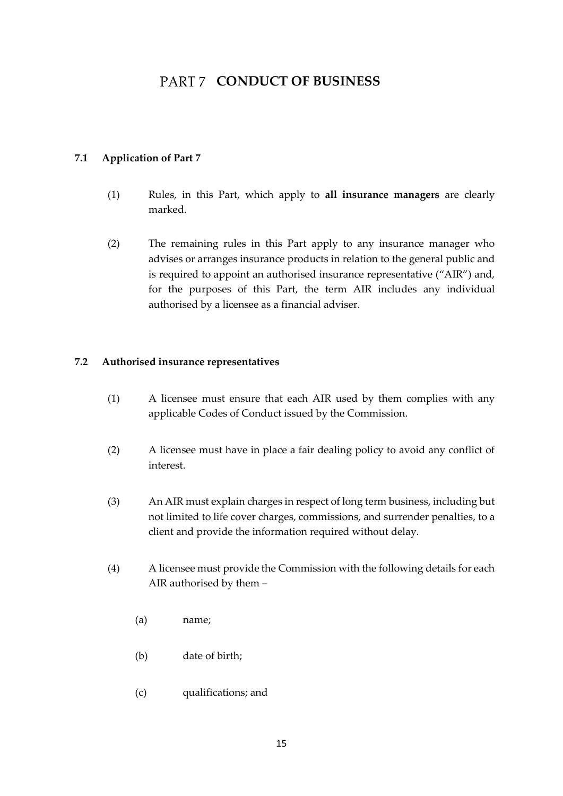# PART 7 CONDUCT OF BUSINESS

# <span id="page-14-1"></span><span id="page-14-0"></span>**7.1 Application of Part 7**

- (1) Rules, in this Part, which apply to **all insurance managers** are clearly marked.
- (2) The remaining rules in this Part apply to any insurance manager who advises or arranges insurance products in relation to the general public and is required to appoint an authorised insurance representative ("AIR") and, for the purposes of this Part, the term AIR includes any individual authorised by a licensee as a financial adviser.

### <span id="page-14-2"></span>**7.2 Authorised insurance representatives**

- (1) A licensee must ensure that each AIR used by them complies with any applicable Codes of Conduct issued by the Commission.
- (2) A licensee must have in place a fair dealing policy to avoid any conflict of interest.
- (3) An AIR must explain charges in respect of long term business, including but not limited to life cover charges, commissions, and surrender penalties, to a client and provide the information required without delay.
- (4) A licensee must provide the Commission with the following details for each AIR authorised by them –
	- (a) name;
	- (b) date of birth;
	- (c) qualifications; and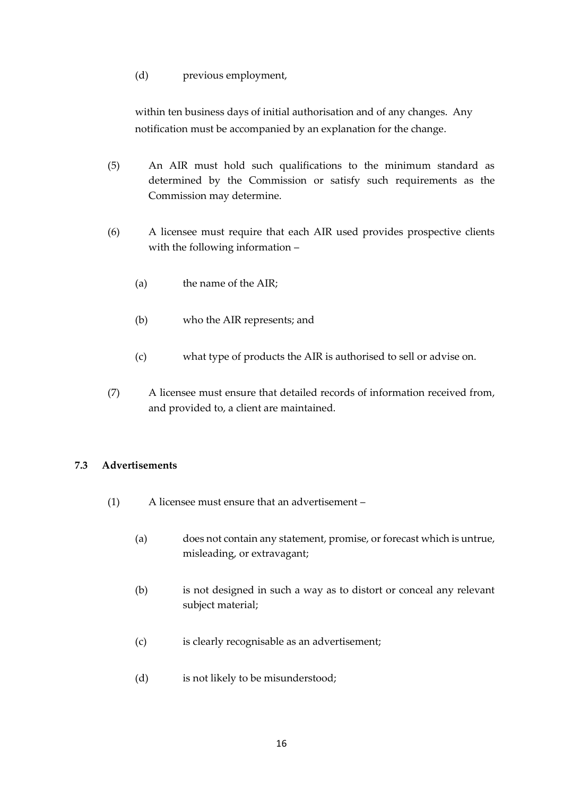#### (d) previous employment,

within ten business days of initial authorisation and of any changes. Any notification must be accompanied by an explanation for the change.

- (5) An AIR must hold such qualifications to the minimum standard as determined by the Commission or satisfy such requirements as the Commission may determine.
- (6) A licensee must require that each AIR used provides prospective clients with the following information –
	- (a) the name of the AIR;
	- (b) who the AIR represents; and
	- (c) what type of products the AIR is authorised to sell or advise on.
- (7) A licensee must ensure that detailed records of information received from, and provided to, a client are maintained.

# <span id="page-15-0"></span>**7.3 Advertisements**

- (1) A licensee must ensure that an advertisement
	- (a) does not contain any statement, promise, or forecast which is untrue, misleading, or extravagant;
	- (b) is not designed in such a way as to distort or conceal any relevant subject material;
	- (c) is clearly recognisable as an advertisement;
	- (d) is not likely to be misunderstood;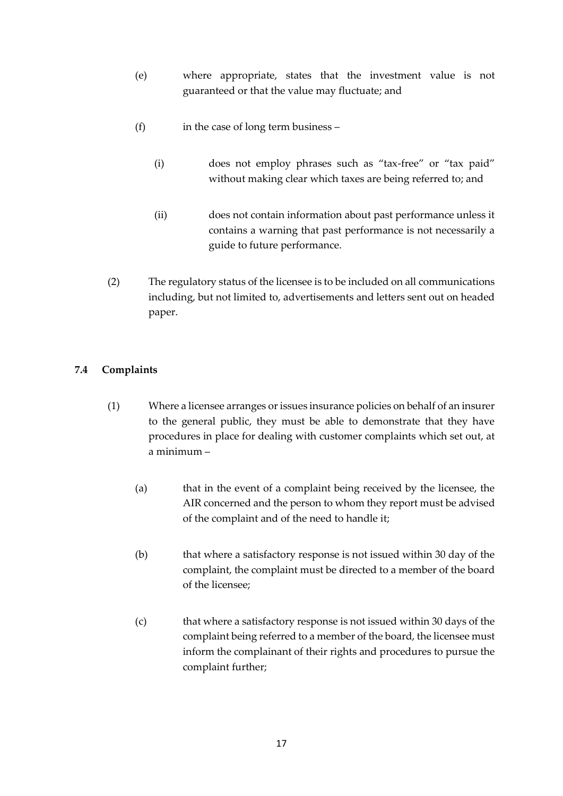- (e) where appropriate, states that the investment value is not guaranteed or that the value may fluctuate; and
- (f) in the case of long term business
	- (i) does not employ phrases such as "tax-free" or "tax paid" without making clear which taxes are being referred to; and
	- (ii) does not contain information about past performance unless it contains a warning that past performance is not necessarily a guide to future performance.
- (2) The regulatory status of the licensee is to be included on all communications including, but not limited to, advertisements and letters sent out on headed paper.

# <span id="page-16-0"></span>**7.4 Complaints**

- (1) Where a licensee arranges or issues insurance policies on behalf of an insurer to the general public, they must be able to demonstrate that they have procedures in place for dealing with customer complaints which set out, at a minimum –
	- (a) that in the event of a complaint being received by the licensee, the AIR concerned and the person to whom they report must be advised of the complaint and of the need to handle it;
	- (b) that where a satisfactory response is not issued within 30 day of the complaint, the complaint must be directed to a member of the board of the licensee;
	- (c) that where a satisfactory response is not issued within 30 days of the complaint being referred to a member of the board, the licensee must inform the complainant of their rights and procedures to pursue the complaint further;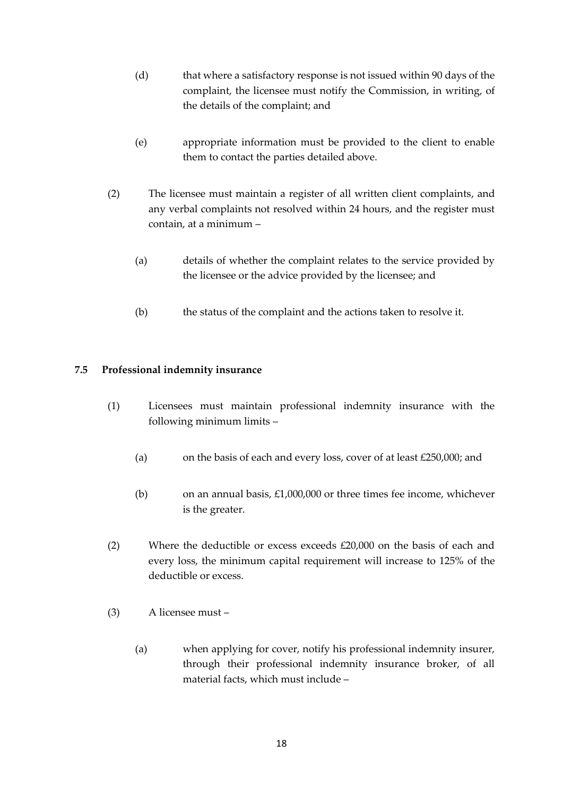- (d) that where a satisfactory response is not issued within 90 days of the complaint, the licensee must notify the Commission, in writing, of the details of the complaint; and
- (e) appropriate information must be provided to the client to enable them to contact the parties detailed above.
- (2) The licensee must maintain a register of all written client complaints, and any verbal complaints not resolved within 24 hours, and the register must contain, at a minimum –
	- (a) details of whether the complaint relates to the service provided by the licensee or the advice provided by the licensee; and
	- (b) the status of the complaint and the actions taken to resolve it.

# <span id="page-17-0"></span>**7.5 Professional indemnity insurance**

- (1) Licensees must maintain professional indemnity insurance with the following minimum limits –
	- (a) on the basis of each and every loss, cover of at least £250,000; and
	- (b) on an annual basis,  $£1,000,000$  or three times fee income, whichever is the greater.
- (2) Where the deductible or excess exceeds £20,000 on the basis of each and every loss, the minimum capital requirement will increase to 125% of the deductible or excess.
- (3) A licensee must
	- (a) when applying for cover, notify his professional indemnity insurer, through their professional indemnity insurance broker, of all material facts, which must include –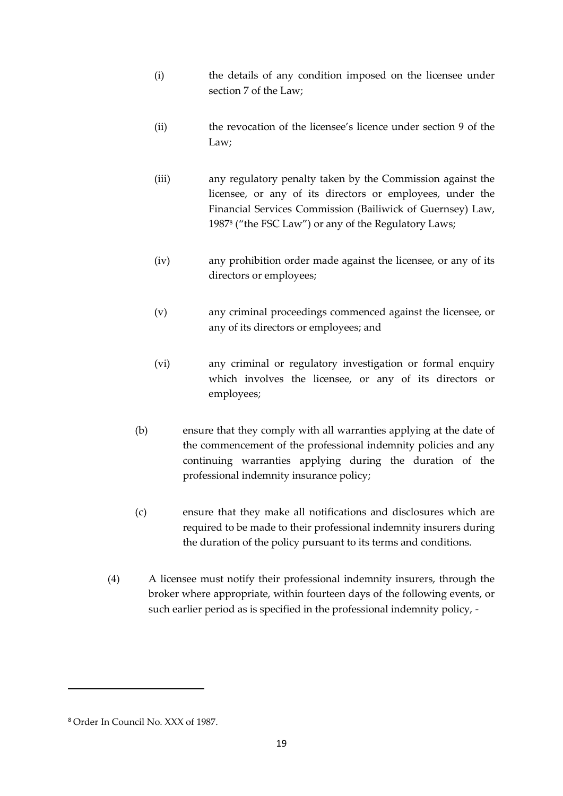- (i) the details of any condition imposed on the licensee under section 7 of the Law;
- (ii) the revocation of the licensee's licence under section 9 of the Law;
- (iii) any regulatory penalty taken by the Commission against the licensee, or any of its directors or employees, under the Financial Services Commission (Bailiwick of Guernsey) Law, 1987<sup>8</sup> ("the FSC Law") or any of the Regulatory Laws;
- (iv) any prohibition order made against the licensee, or any of its directors or employees;
- (v) any criminal proceedings commenced against the licensee, or any of its directors or employees; and
- (vi) any criminal or regulatory investigation or formal enquiry which involves the licensee, or any of its directors or employees;
- (b) ensure that they comply with all warranties applying at the date of the commencement of the professional indemnity policies and any continuing warranties applying during the duration of the professional indemnity insurance policy;
- (c) ensure that they make all notifications and disclosures which are required to be made to their professional indemnity insurers during the duration of the policy pursuant to its terms and conditions.
- (4) A licensee must notify their professional indemnity insurers, through the broker where appropriate, within fourteen days of the following events, or such earlier period as is specified in the professional indemnity policy, -

<sup>8</sup> Order In Council No. XXX of 1987.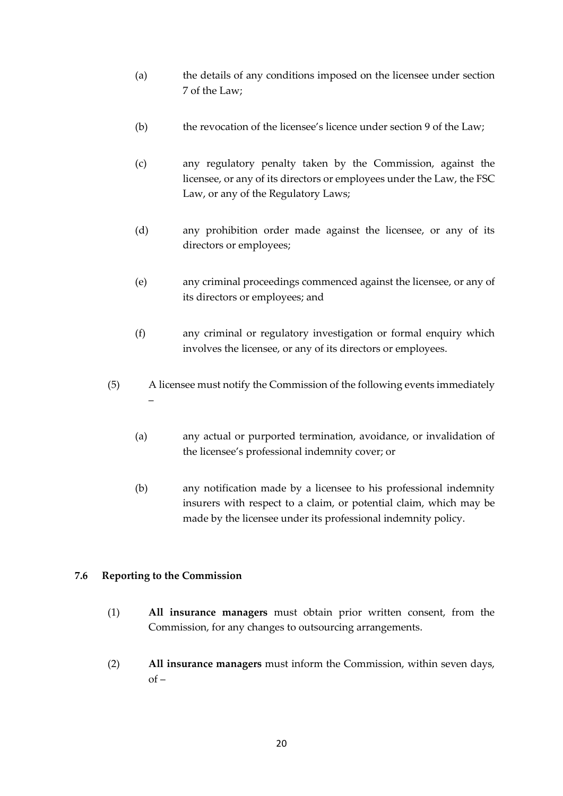- (a) the details of any conditions imposed on the licensee under section 7 of the Law;
- (b) the revocation of the licensee's licence under section 9 of the Law;
- (c) any regulatory penalty taken by the Commission, against the licensee, or any of its directors or employees under the Law, the FSC Law, or any of the Regulatory Laws;
- (d) any prohibition order made against the licensee, or any of its directors or employees;
- (e) any criminal proceedings commenced against the licensee, or any of its directors or employees; and
- (f) any criminal or regulatory investigation or formal enquiry which involves the licensee, or any of its directors or employees.
- (5) A licensee must notify the Commission of the following events immediately –
	- (a) any actual or purported termination, avoidance, or invalidation of the licensee's professional indemnity cover; or
	- (b) any notification made by a licensee to his professional indemnity insurers with respect to a claim, or potential claim, which may be made by the licensee under its professional indemnity policy.

### <span id="page-19-0"></span>**7.6 Reporting to the Commission**

- (1) **All insurance managers** must obtain prior written consent, from the Commission, for any changes to outsourcing arrangements.
- (2) **All insurance managers** must inform the Commission, within seven days,  $of –$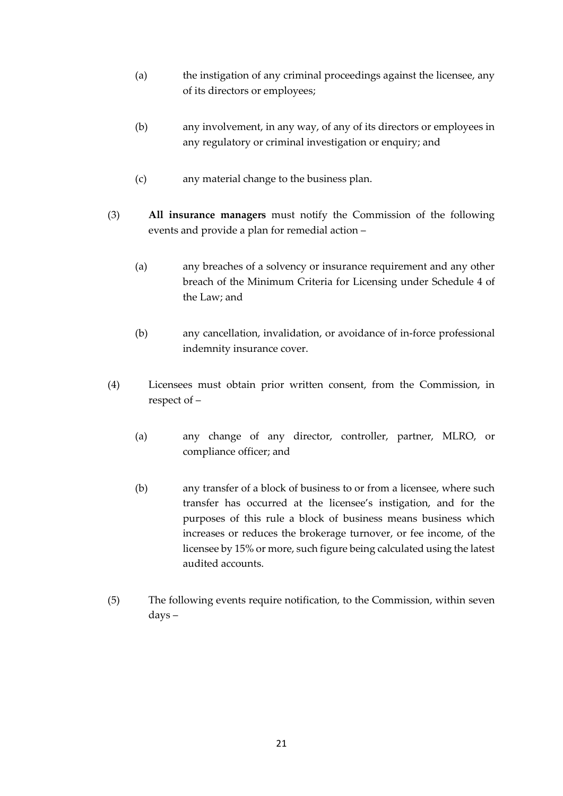- (a) the instigation of any criminal proceedings against the licensee, any of its directors or employees;
- (b) any involvement, in any way, of any of its directors or employees in any regulatory or criminal investigation or enquiry; and
- (c) any material change to the business plan.
- (3) **All insurance managers** must notify the Commission of the following events and provide a plan for remedial action –
	- (a) any breaches of a solvency or insurance requirement and any other breach of the Minimum Criteria for Licensing under Schedule 4 of the Law; and
	- (b) any cancellation, invalidation, or avoidance of in-force professional indemnity insurance cover.
- (4) Licensees must obtain prior written consent, from the Commission, in respect of –
	- (a) any change of any director, controller, partner, MLRO, or compliance officer; and
	- (b) any transfer of a block of business to or from a licensee, where such transfer has occurred at the licensee's instigation, and for the purposes of this rule a block of business means business which increases or reduces the brokerage turnover, or fee income, of the licensee by 15% or more, such figure being calculated using the latest audited accounts.
- (5) The following events require notification, to the Commission, within seven days –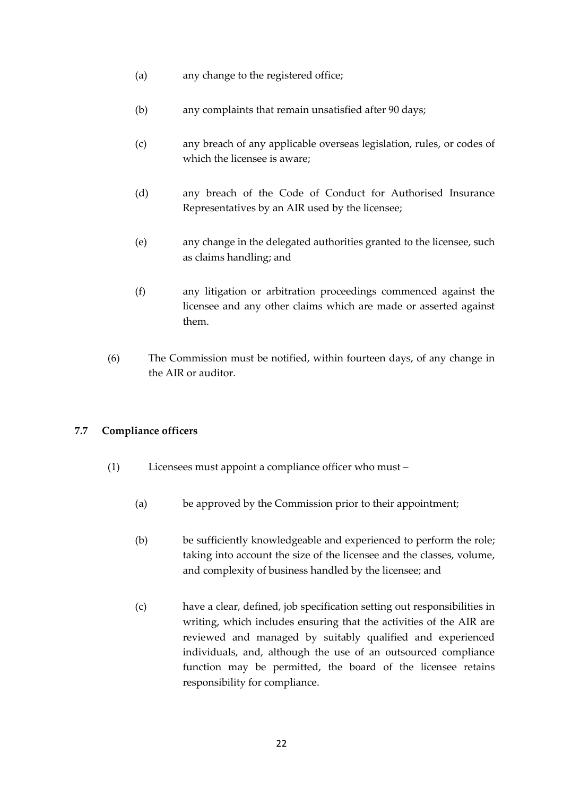- (a) any change to the registered office;
- (b) any complaints that remain unsatisfied after 90 days;
- (c) any breach of any applicable overseas legislation, rules, or codes of which the licensee is aware;
- (d) any breach of the Code of Conduct for Authorised Insurance Representatives by an AIR used by the licensee;
- (e) any change in the delegated authorities granted to the licensee, such as claims handling; and
- (f) any litigation or arbitration proceedings commenced against the licensee and any other claims which are made or asserted against them.
- (6) The Commission must be notified, within fourteen days, of any change in the AIR or auditor.

### <span id="page-21-0"></span>**7.7 Compliance officers**

- (1) Licensees must appoint a compliance officer who must
	- (a) be approved by the Commission prior to their appointment;
	- (b) be sufficiently knowledgeable and experienced to perform the role; taking into account the size of the licensee and the classes, volume, and complexity of business handled by the licensee; and
	- (c) have a clear, defined, job specification setting out responsibilities in writing, which includes ensuring that the activities of the AIR are reviewed and managed by suitably qualified and experienced individuals, and, although the use of an outsourced compliance function may be permitted, the board of the licensee retains responsibility for compliance.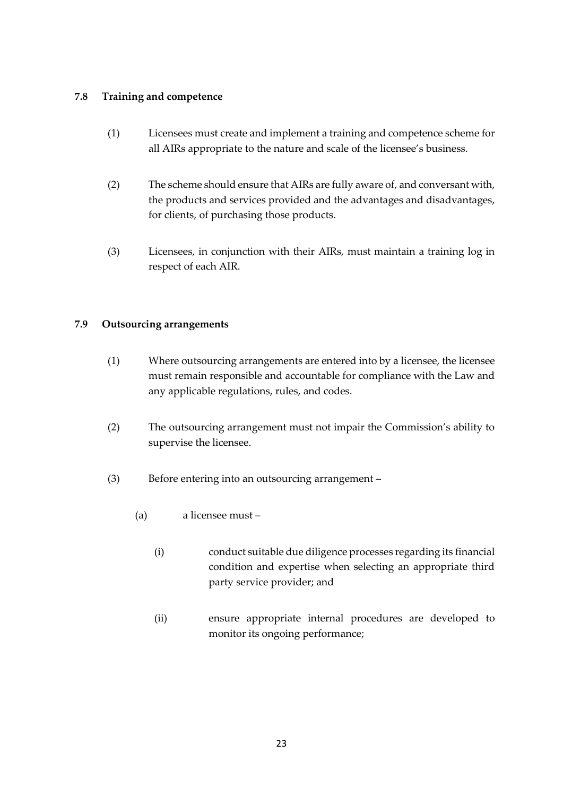# <span id="page-22-0"></span>**7.8 Training and competence**

- (1) Licensees must create and implement a training and competence scheme for all AIRs appropriate to the nature and scale of the licensee's business.
- (2) The scheme should ensure that AIRs are fully aware of, and conversant with, the products and services provided and the advantages and disadvantages, for clients, of purchasing those products.
- (3) Licensees, in conjunction with their AIRs, must maintain a training log in respect of each AIR.

# <span id="page-22-1"></span>**7.9 Outsourcing arrangements**

- (1) Where outsourcing arrangements are entered into by a licensee, the licensee must remain responsible and accountable for compliance with the Law and any applicable regulations, rules, and codes.
- (2) The outsourcing arrangement must not impair the Commission's ability to supervise the licensee.
- (3) Before entering into an outsourcing arrangement
	- (a) a licensee must
		- (i) conduct suitable due diligence processes regarding its financial condition and expertise when selecting an appropriate third party service provider; and
		- (ii) ensure appropriate internal procedures are developed to monitor its ongoing performance;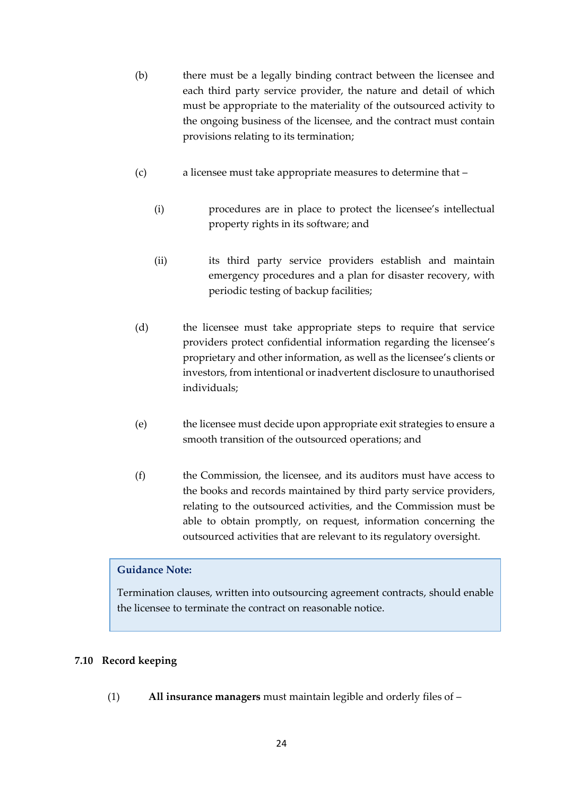- (b) there must be a legally binding contract between the licensee and each third party service provider, the nature and detail of which must be appropriate to the materiality of the outsourced activity to the ongoing business of the licensee, and the contract must contain provisions relating to its termination;
- (c) a licensee must take appropriate measures to determine that
	- (i) procedures are in place to protect the licensee's intellectual property rights in its software; and
	- (ii) its third party service providers establish and maintain emergency procedures and a plan for disaster recovery, with periodic testing of backup facilities;
- (d) the licensee must take appropriate steps to require that service providers protect confidential information regarding the licensee's proprietary and other information, as well as the licensee's clients or investors, from intentional or inadvertent disclosure to unauthorised individuals;
- (e) the licensee must decide upon appropriate exit strategies to ensure a smooth transition of the outsourced operations; and
- (f) the Commission, the licensee, and its auditors must have access to the books and records maintained by third party service providers, relating to the outsourced activities, and the Commission must be able to obtain promptly, on request, information concerning the outsourced activities that are relevant to its regulatory oversight.

### **Guidance Note:**

Termination clauses, written into outsourcing agreement contracts, should enable the licensee to terminate the contract on reasonable notice.

### <span id="page-23-0"></span>**7.10 Record keeping**

(1) **All insurance managers** must maintain legible and orderly files of –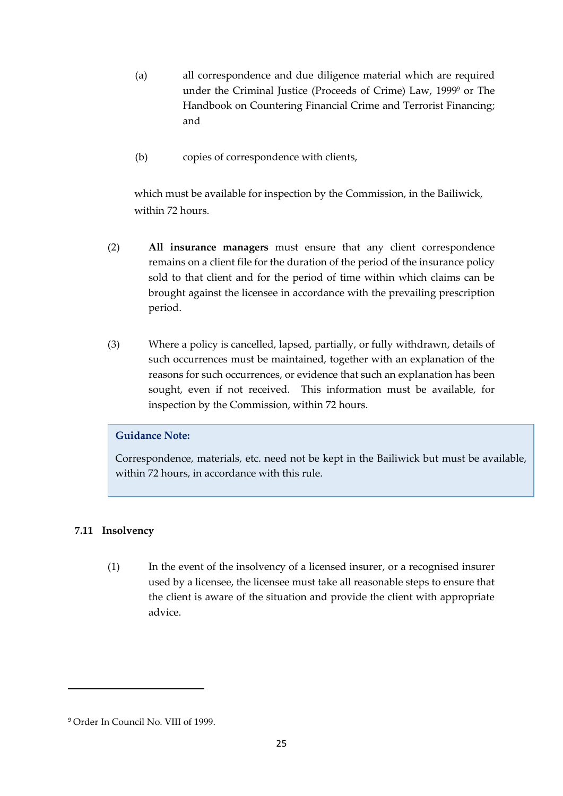- (a) all correspondence and due diligence material which are required under the Criminal Justice (Proceeds of Crime) Law, 1999<sup>9</sup> or The Handbook on Countering Financial Crime and Terrorist Financing; and
- (b) copies of correspondence with clients,

which must be available for inspection by the Commission, in the Bailiwick, within 72 hours.

- (2) **All insurance managers** must ensure that any client correspondence remains on a client file for the duration of the period of the insurance policy sold to that client and for the period of time within which claims can be brought against the licensee in accordance with the prevailing prescription period.
- (3) Where a policy is cancelled, lapsed, partially, or fully withdrawn, details of such occurrences must be maintained, together with an explanation of the reasons for such occurrences, or evidence that such an explanation has been sought, even if not received. This information must be available, for inspection by the Commission, within 72 hours.

# **Guidance Note:**

Correspondence, materials, etc. need not be kept in the Bailiwick but must be available, within 72 hours, in accordance with this rule.

# <span id="page-24-0"></span>**7.11 Insolvency**

(1) In the event of the insolvency of a licensed insurer, or a recognised insurer used by a licensee, the licensee must take all reasonable steps to ensure that the client is aware of the situation and provide the client with appropriate advice.

<sup>9</sup> Order In Council No. VIII of 1999.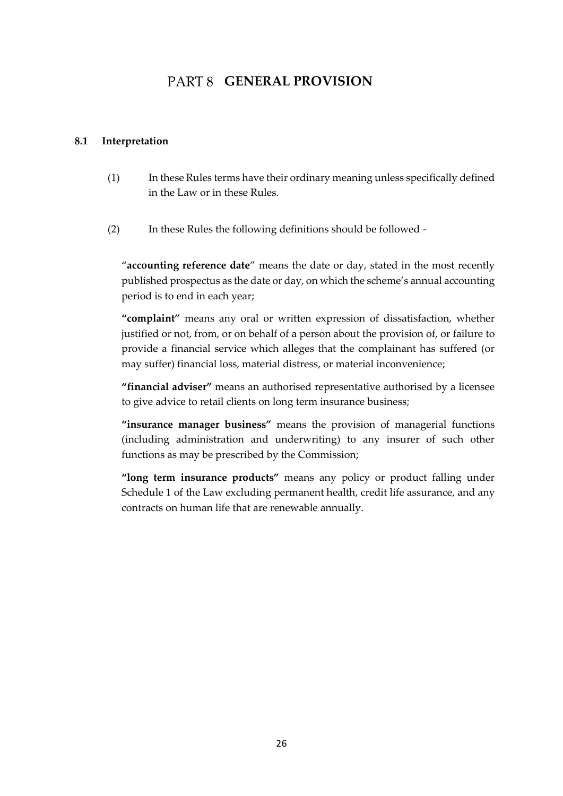# PART 8 **GENERAL PROVISION**

### <span id="page-25-1"></span><span id="page-25-0"></span>**8.1 Interpretation**

- (1) In these Rules terms have their ordinary meaning unless specifically defined in the Law or in these Rules.
- (2) In these Rules the following definitions should be followed -

"**accounting reference date**" means the date or day, stated in the most recently published prospectus as the date or day, on which the scheme's annual accounting period is to end in each year;

**"complaint"** means any oral or written expression of dissatisfaction, whether justified or not, from, or on behalf of a person about the provision of, or failure to provide a financial service which alleges that the complainant has suffered (or may suffer) financial loss, material distress, or material inconvenience;

**"financial adviser"** means an authorised representative authorised by a licensee to give advice to retail clients on long term insurance business;

**"insurance manager business"** means the provision of managerial functions (including administration and underwriting) to any insurer of such other functions as may be prescribed by the Commission;

**"long term insurance products"** means any policy or product falling under Schedule 1 of the Law excluding permanent health, credit life assurance, and any contracts on human life that are renewable annually.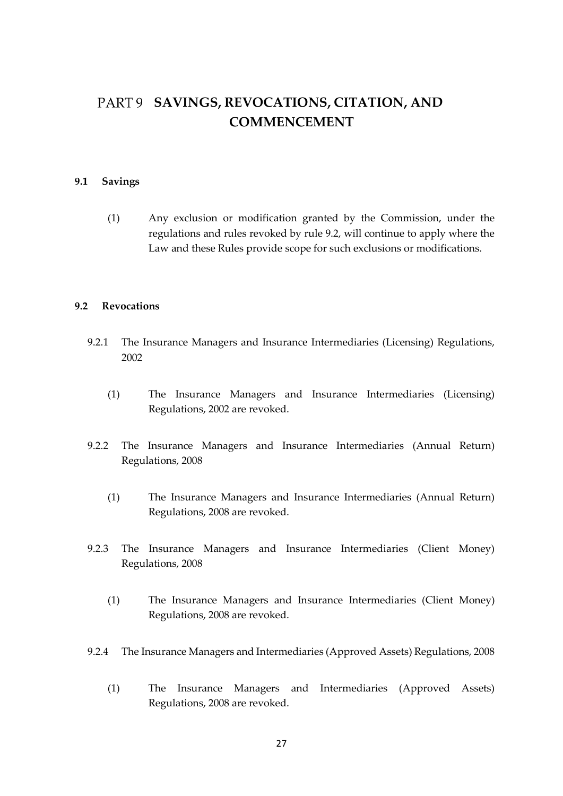# <span id="page-26-0"></span>PART 9 SAVINGS, REVOCATIONS, CITATION, AND **COMMENCEMENT**

#### <span id="page-26-1"></span>**9.1 Savings**

(1) Any exclusion or modification granted by the Commission, under the regulations and rules revoked by rule 9.2, will continue to apply where the Law and these Rules provide scope for such exclusions or modifications.

#### <span id="page-26-2"></span>**9.2 Revocations**

- 9.2.1 The Insurance Managers and Insurance Intermediaries (Licensing) Regulations, 2002
	- (1) The Insurance Managers and Insurance Intermediaries (Licensing) Regulations, 2002 are revoked.
- 9.2.2 The Insurance Managers and Insurance Intermediaries (Annual Return) Regulations, 2008
	- (1) The Insurance Managers and Insurance Intermediaries (Annual Return) Regulations, 2008 are revoked.
- 9.2.3 The Insurance Managers and Insurance Intermediaries (Client Money) Regulations, 2008
	- (1) The Insurance Managers and Insurance Intermediaries (Client Money) Regulations, 2008 are revoked.
- 9.2.4 The Insurance Managers and Intermediaries (Approved Assets) Regulations, 2008
	- (1) The Insurance Managers and Intermediaries (Approved Assets) Regulations, 2008 are revoked.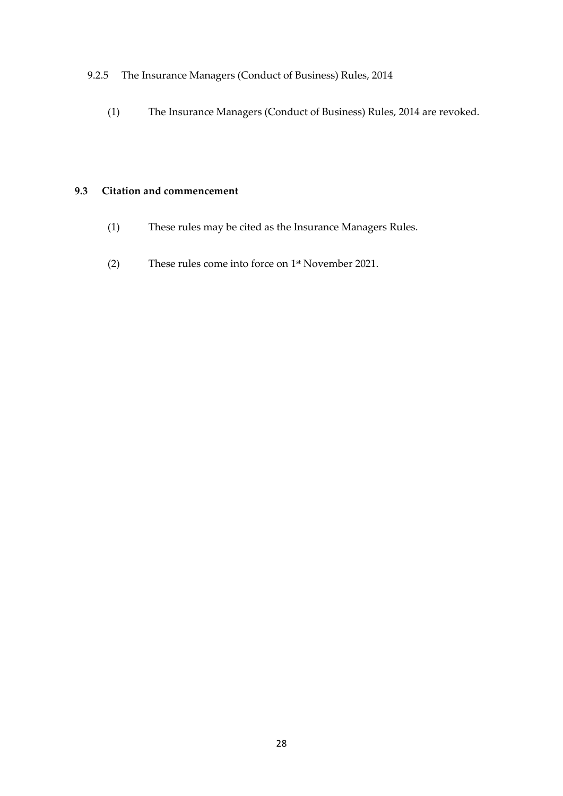# 9.2.5 The Insurance Managers (Conduct of Business) Rules, 2014

(1) The Insurance Managers (Conduct of Business) Rules, 2014 are revoked.

### <span id="page-27-0"></span>**9.3 Citation and commencement**

- (1) These rules may be cited as the Insurance Managers Rules.
- (2) These rules come into force on 1 st November 2021.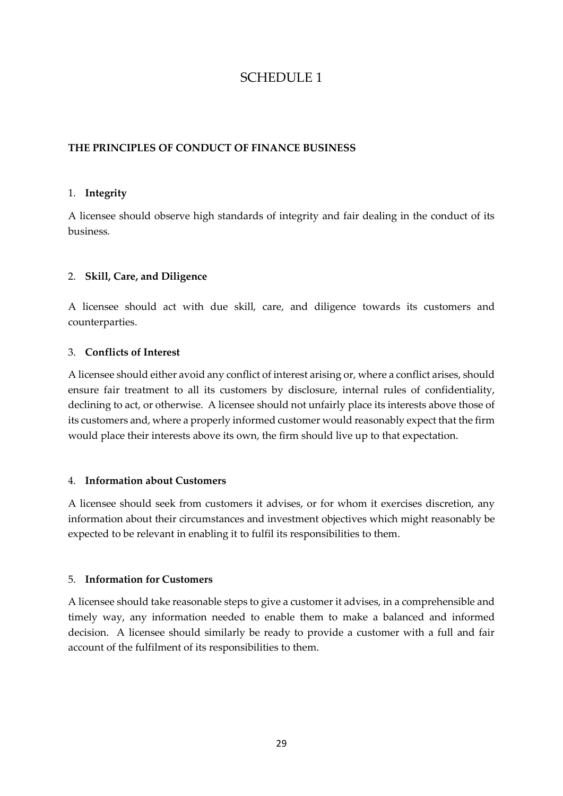# SCHEDULE 1

# **THE PRINCIPLES OF CONDUCT OF FINANCE BUSINESS**

#### 1. **Integrity**

A licensee should observe high standards of integrity and fair dealing in the conduct of its business.

### 2. **Skill, Care, and Diligence**

A licensee should act with due skill, care, and diligence towards its customers and counterparties.

### 3. **Conflicts of Interest**

A licensee should either avoid any conflict of interest arising or, where a conflict arises, should ensure fair treatment to all its customers by disclosure, internal rules of confidentiality, declining to act, or otherwise. A licensee should not unfairly place its interests above those of its customers and, where a properly informed customer would reasonably expect that the firm would place their interests above its own, the firm should live up to that expectation.

### 4. **Information about Customers**

A licensee should seek from customers it advises, or for whom it exercises discretion, any information about their circumstances and investment objectives which might reasonably be expected to be relevant in enabling it to fulfil its responsibilities to them.

### 5. **Information for Customers**

A licensee should take reasonable steps to give a customer it advises, in a comprehensible and timely way, any information needed to enable them to make a balanced and informed decision. A licensee should similarly be ready to provide a customer with a full and fair account of the fulfilment of its responsibilities to them.